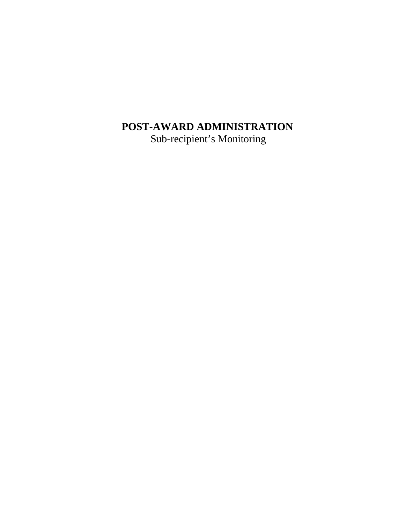## **POST-AWARD ADMINISTRATION**

Sub-recipient's Monitoring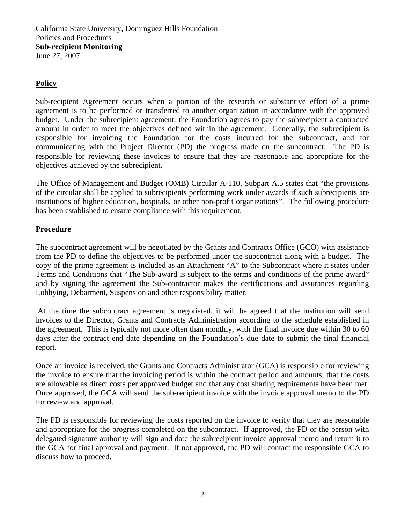California State University, Dominguez Hills Foundation Policies and Procedures **Sub-recipient Monitoring**  June 27, 2007

## **Policy**

Sub-recipient Agreement occurs when a portion of the research or substantive effort of a prime agreement is to be performed or transferred to another organization in accordance with the approved budget. Under the subrecipient agreement, the Foundation agrees to pay the subrecipient a contracted amount in order to meet the objectives defined within the agreement. Generally, the subrecipient is responsible for invoicing the Foundation for the costs incurred for the subcontract, and for communicating with the Project Director (PD) the progress made on the subcontract. The PD is responsible for reviewing these invoices to ensure that they are reasonable and appropriate for the objectives achieved by the subrecipient.

The Office of Management and Budget (OMB) Circular A-110, Subpart A.5 states that "the provisions of the circular shall be applied to subrecipients performing work under awards if such subrecipients are institutions of higher education, hospitals, or other non-profit organizations". The following procedure has been established to ensure compliance with this requirement.

## **Procedure**

The subcontract agreement will be negotiated by the Grants and Contracts Office (GCO) with assistance from the PD to define the objectives to be performed under the subcontract along with a budget. The copy of the prime agreement is included as an Attachment "A" to the Subcontract where it states under Terms and Conditions that "The Sub-award is subject to the terms and conditions of the prime award" and by signing the agreement the Sub-contractor makes the certifications and assurances regarding Lobbying, Debarment, Suspension and other responsibility matter.

 At the time the subcontract agreement is negotiated, it will be agreed that the institution will send invoices to the Director, Grants and Contracts Administration according to the schedule established in the agreement. This is typically not more often than monthly, with the final invoice due within 30 to 60 days after the contract end date depending on the Foundation's due date to submit the final financial report.

Once an invoice is received, the Grants and Contracts Administrator (GCA) is responsible for reviewing the invoice to ensure that the invoicing period is within the contract period and amounts, that the costs are allowable as direct costs per approved budget and that any cost sharing requirements have been met. Once approved, the GCA will send the sub-recipient invoice with the invoice approval memo to the PD for review and approval.

The PD is responsible for reviewing the costs reported on the invoice to verify that they are reasonable and appropriate for the progress completed on the subcontract. If approved, the PD or the person with delegated signature authority will sign and date the subrecipient invoice approval memo and return it to the GCA for final approval and payment. If not approved, the PD will contact the responsible GCA to discuss how to proceed.